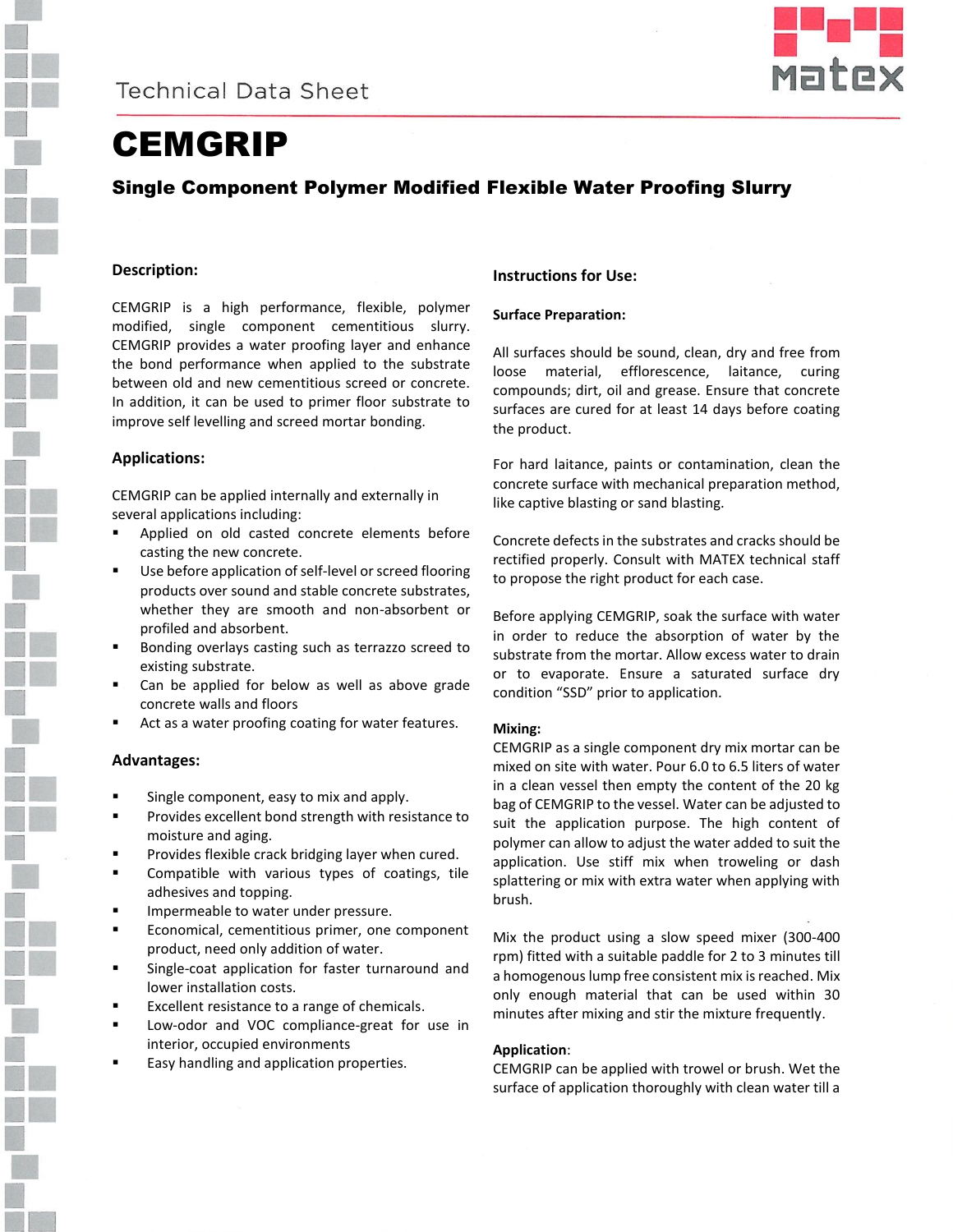

# CEMGRIP

## Single Component Polymer Modified Flexible Water Proofing Slurry

## **Description:**

CEMGRIP is a high performance, flexible, polymer modified, single component cementitious slurry. CEMGRIP provides a water proofing layer and enhance the bond performance when applied to the substrate between old and new cementitious screed or concrete. In addition, it can be used to primer floor substrate to improve self levelling and screed mortar bonding.

## **Applications:**

CEMGRIP can be applied internally and externally in several applications including:

- Applied on old casted concrete elements before casting the new concrete.
- Use before application of self-level or screed flooring products over sound and stable concrete substrates, whether they are smooth and non-absorbent or profiled and absorbent.
- Bonding overlays casting such as terrazzo screed to existing substrate.
- Can be applied for below as well as above grade concrete walls and floors
- Act as a water proofing coating for water features.

## **Advantages:**

- Single component, easy to mix and apply.
- Provides excellent bond strength with resistance to moisture and aging.
- Provides flexible crack bridging layer when cured.
- **Compatible with various types of coatings, tile** adhesives and topping.
- Impermeable to water under pressure.
- Economical, cementitious primer, one component product, need only addition of water.
- Single-coat application for faster turnaround and lower installation costs.
- Excellent resistance to a range of chemicals.
- Low-odor and VOC compliance-great for use in interior, occupied environments
- Easy handling and application properties.

## **Instructions for Use:**

## **Surface Preparation:**

All surfaces should be sound, clean, dry and free from loose material, efflorescence, laitance, curing compounds; dirt, oil and grease. Ensure that concrete surfaces are cured for at least 14 days before coating the product.

For hard laitance, paints or contamination, clean the concrete surface with mechanical preparation method, like captive blasting or sand blasting.

Concrete defects in the substrates and cracks should be rectified properly. Consult with MATEX technical staff to propose the right product for each case.

Before applying CEMGRIP, soak the surface with water in order to reduce the absorption of water by the substrate from the mortar. Allow excess water to drain or to evaporate. Ensure a saturated surface dry condition "SSD" prior to application.

#### **Mixing:**

CEMGRIP as a single component dry mix mortar can be mixed on site with water. Pour 6.0 to 6.5 liters of water in a clean vessel then empty the content of the 20 kg bag of CEMGRIP to the vessel. Water can be adjusted to suit the application purpose. The high content of polymer can allow to adjust the water added to suit the application. Use stiff mix when troweling or dash splattering or mix with extra water when applying with brush.

Mix the product using a slow speed mixer (300-400 rpm) fitted with a suitable paddle for 2 to 3 minutes till a homogenous lump free consistent mix is reached. Mix only enough material that can be used within 30 minutes after mixing and stir the mixture frequently.

## **Application**:

CEMGRIP can be applied with trowel or brush. Wet the surface of application thoroughly with clean water till a